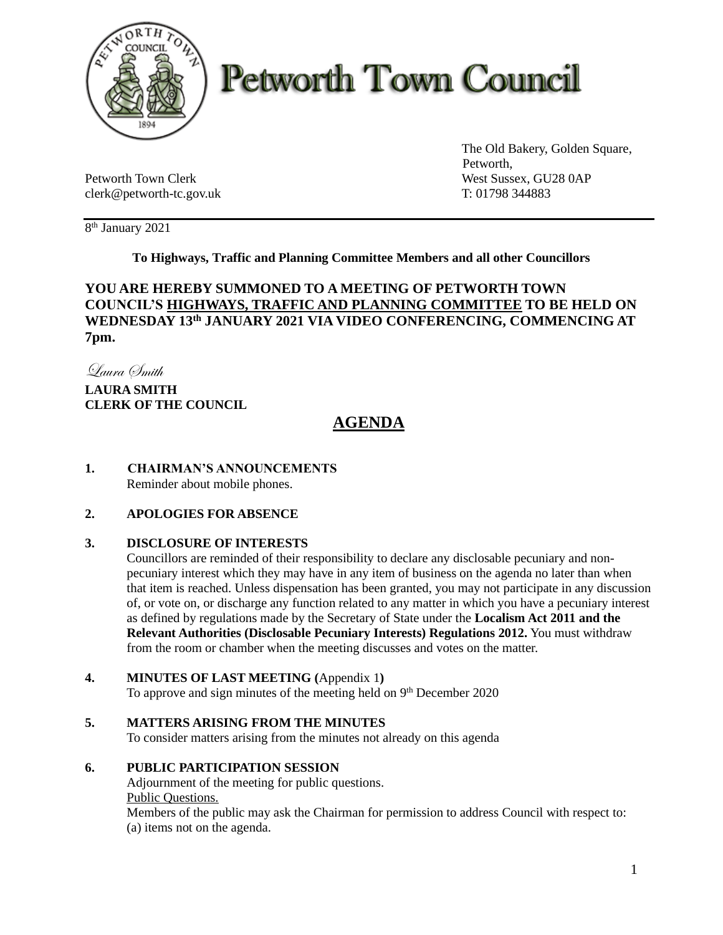

# **Petworth Town Council**

Petworth Town Clerk West Sussex, GU28 0AP clerk@petworth-tc.gov.uk T: 01798 344883

The Old Bakery, Golden Square, Petworth,

8 th January 2021

# **To Highways, Traffic and Planning Committee Members and all other Councillors**

# **YOU ARE HEREBY SUMMONED TO A MEETING OF PETWORTH TOWN COUNCIL'S HIGHWAYS, TRAFFIC AND PLANNING COMMITTEE TO BE HELD ON WEDNESDAY 13th JANUARY 2021 VIA VIDEO CONFERENCING, COMMENCING AT 7pm.**

Laura Smith

**LAURA SMITH CLERK OF THE COUNCIL**

# **AGENDA**

**1. CHAIRMAN'S ANNOUNCEMENTS** Reminder about mobile phones.

# **2. APOLOGIES FOR ABSENCE**

# **3. DISCLOSURE OF INTERESTS**

Councillors are reminded of their responsibility to declare any disclosable pecuniary and nonpecuniary interest which they may have in any item of business on the agenda no later than when that item is reached. Unless dispensation has been granted, you may not participate in any discussion of, or vote on, or discharge any function related to any matter in which you have a pecuniary interest as defined by regulations made by the Secretary of State under the **Localism Act 2011 and the Relevant Authorities (Disclosable Pecuniary Interests) Regulations 2012.** You must withdraw from the room or chamber when the meeting discusses and votes on the matter.

# **4. MINUTES OF LAST MEETING (**Appendix 1**)**

To approve and sign minutes of the meeting held on  $9<sup>th</sup>$  December 2020

#### **5. MATTERS ARISING FROM THE MINUTES**

To consider matters arising from the minutes not already on this agenda

#### **6. PUBLIC PARTICIPATION SESSION**

Adjournment of the meeting for public questions. Public Questions.

Members of the public may ask the Chairman for permission to address Council with respect to: (a) items not on the agenda.